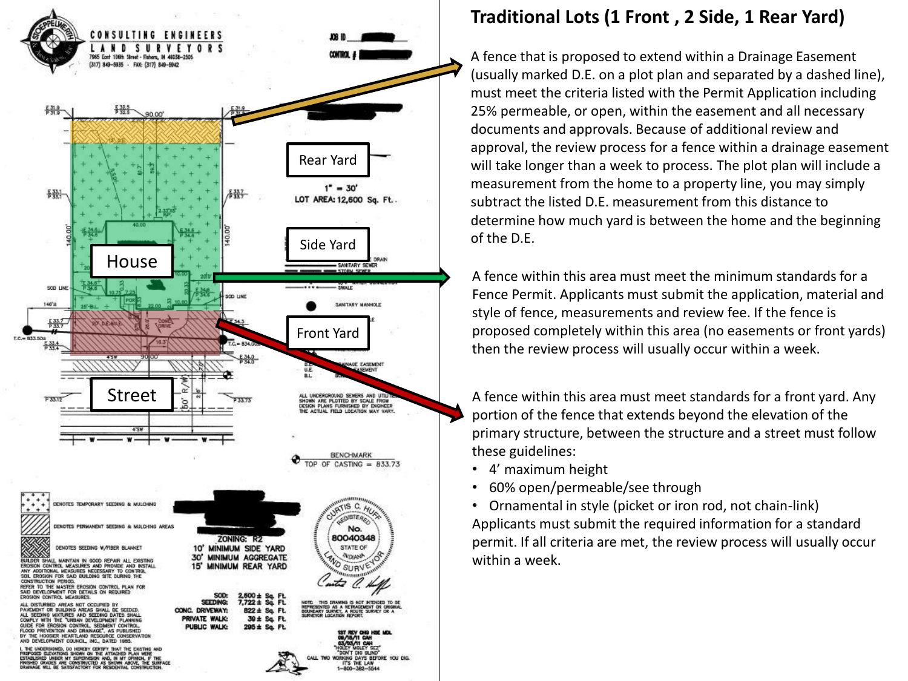

## **Traditional Lots (1 Front , 2 Side, 1 Rear Yard)**

A fence that is proposed to extend within a Drainage Easement (usually marked D.E. on a plot plan and separated by a dashed line), must meet the criteria listed with the Permit Application including 25% permeable, or open, within the easement and all necessary documents and approvals. Because of additional review and approval, the review process for a fence within a drainage easement will take longer than a week to process. The plot plan will include a measurement from the home to a property line, you may simply subtract the listed D.E. measurement from this distance to determine how much yard is between the home and the beginning of the D.E.

A fence within this area must meet the minimum standards for a Fence Permit. Applicants must submit the application, material and style of fence, measurements and review fee. If the fence is proposed completely within this area (no easements or front yards) then the review process will usually occur within a week.

A fence within this area must meet standards for a front yard. Any portion of the fence that extends beyond the elevation of the primary structure, between the structure and a street must follow these guidelines:

- 4' maximum height
- 60% open/permeable/see through
- Ornamental in style (picket or iron rod, not chain -link) Applicants must submit the required information for a standard permit. If all criteria are met, the review process will usually occur within a week.